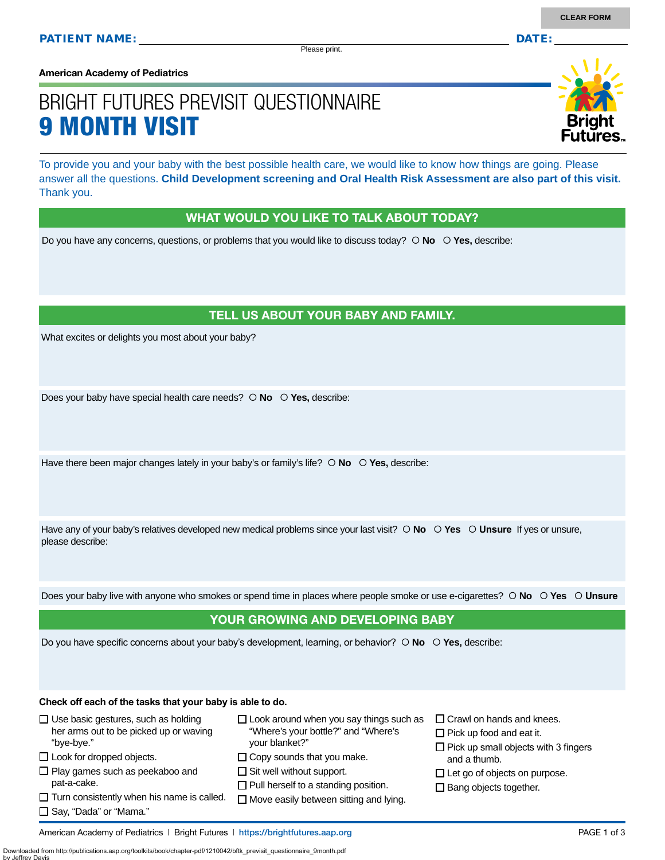Please print.

**American Academy of Pediatrics**

# BRIGHT FUTURES PREVISIT QUESTIONNAIRE 9 MONTH VISIT

To provide you and your baby with the best possible health care, we would like to know how things are going. Please answer all the questions. **Child Development screening and Oral Health Risk Assessment are also part of this visit.**  Thank you.

## WHAT WOULD YOU LIKE TO TALK ABOUT TODAY?

Do you have any concerns, questions, or problems that you would like to discuss today?  $\circ$  **No**  $\circ$  **Yes**, describe:

## TELL US ABOUT YOUR BABY AND FAMILY.

What excites or delights you most about your baby?

Does your baby have special health care needs?  **No Yes,** describe:

Have there been major changes lately in your baby's or family's life?  $\circ$  **No**  $\circ$  **Yes**, describe:

Have any of your baby's relatives developed new medical problems since your last visit?  $\circ$  **No**  $\circ$  **Yes**  $\circ$  **Unsure** If yes or unsure, please describe:

Does your baby live with anyone who smokes or spend time in places where people smoke or use e-cigarettes?  **No Yes Unsure**

## YOUR GROWING AND DEVELOPING BABY

Do you have specific concerns about your baby's development, learning, or behavior?  $\circ$  **No**  $\circ$  **Yes**, describe:

#### **Check off each of the tasks that your baby is able to do.**

| $\Box$ Use basic gestures, such as holding                                                                                                                                 | $\Box$ Look around when you say things such as                                                                                                                        | $\Box$ Crawl on hands and knees.                                                      |
|----------------------------------------------------------------------------------------------------------------------------------------------------------------------------|-----------------------------------------------------------------------------------------------------------------------------------------------------------------------|---------------------------------------------------------------------------------------|
| her arms out to be picked up or waving                                                                                                                                     | "Where's your bottle?" and "Where's                                                                                                                                   | $\Box$ Pick up food and eat it.                                                       |
| "bye-bye."                                                                                                                                                                 | vour blanket?"                                                                                                                                                        | $\Box$ Pick up small objects with 3 fingers                                           |
| $\Box$ Look for dropped objects.<br>$\Box$ Play games such as peekaboo and<br>pat-a-cake.<br>$\Box$ Turn consistently when his name is called.<br>□ Say, "Dada" or "Mama." | $\Box$ Copy sounds that you make.<br>$\Box$ Sit well without support.<br>$\Box$ Pull herself to a standing position.<br>$\Box$ Move easily between sitting and lying. | and a thumb.<br>$\Box$ Let go of objects on purpose.<br>$\Box$ Bang objects together. |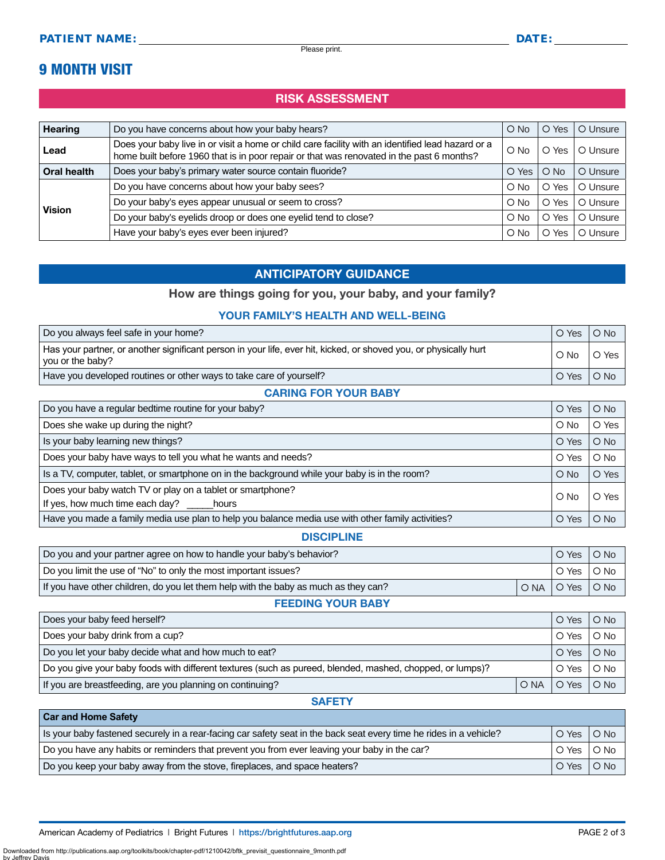## 9 MONTH VISIT

## RISK ASSESSMENT

| <b>Hearing</b> | Do you have concerns about how your baby hears?                                                                                                                                                | $\circ$ No    | Yes<br>$\Omega$ | O Unsure |
|----------------|------------------------------------------------------------------------------------------------------------------------------------------------------------------------------------------------|---------------|-----------------|----------|
| Lead           | Does your baby live in or visit a home or child care facility with an identified lead hazard or a<br>home built before 1960 that is in poor repair or that was renovated in the past 6 months? | $O$ No        | O Yes           | O Unsure |
| Oral health    | Does your baby's primary water source contain fluoride?                                                                                                                                        | O Yes         | $O$ No          | O Unsure |
| <b>Vision</b>  | Do you have concerns about how your baby sees?                                                                                                                                                 | O No          | Yes<br>O        | O Unsure |
|                | Do your baby's eyes appear unusual or seem to cross?                                                                                                                                           | $\bigcirc$ No | O Yes           | O Unsure |
|                | Do your baby's eyelids droop or does one eyelid tend to close?                                                                                                                                 | O No          | Yes<br>Ο        | O Unsure |
|                | Have your baby's eyes ever been injured?                                                                                                                                                       | $\circ$ No    | Yes<br>O        | O Unsure |

## ANTICIPATORY GUIDANCE

### How are things going for you, your baby, and your family?

#### YOUR FAMILY'S HEALTH AND WELL-BEING

| Do you always feel safe in your home?                                                                                                 | O Yes      | $O$ No                        |
|---------------------------------------------------------------------------------------------------------------------------------------|------------|-------------------------------|
| Has your partner, or another significant person in your life, ever hit, kicked, or shoved you, or physically hurt<br>vou or the baby? | $\circ$ No | l O Yes                       |
| Have you developed routines or other ways to take care of yourself?                                                                   | O Yes      | $\overline{\phantom{a}}$ O No |
|                                                                                                                                       |            |                               |

#### CARING FOR YOUR BABY

| Do you have a regular bedtime routine for your baby?                                                    | O Yes  | $O$ No |
|---------------------------------------------------------------------------------------------------------|--------|--------|
| Does she wake up during the night?                                                                      | $O$ No | O Yes  |
| Is your baby learning new things?                                                                       | O Yes  | $O$ No |
| Does your baby have ways to tell you what he wants and needs?                                           | O Yes  | $O$ No |
| Is a TV, computer, tablet, or smartphone on in the background while your baby is in the room?<br>$O$ No |        | O Yes  |
| Does your baby watch TV or play on a tablet or smartphone?<br>If yes, how much time each day? hours     |        | O Yes  |
| Have you made a family media use plan to help you balance media use with other family activities?       | O Yes  | $O$ No |

#### DISCIPLINE

| Do you and your partner agree on how to handle your baby's behavior?                |  | O Yes I              | O No |
|-------------------------------------------------------------------------------------|--|----------------------|------|
| Do you limit the use of "No" to only the most important issues?                     |  | O Yes                | O No |
| If you have other children, do you let them help with the baby as much as they can? |  | <b>IONA OYes ONO</b> |      |

## FEEDING YOUR BABY

| Does your baby feed herself?                                                                              |  | O Yes              | $O$ No     |
|-----------------------------------------------------------------------------------------------------------|--|--------------------|------------|
| Does your baby drink from a cup?                                                                          |  | O Yes              | $O$ No     |
| Do you let your baby decide what and how much to eat?                                                     |  | O Yes              | $\circ$ No |
| Do you give your baby foods with different textures (such as pureed, blended, mashed, chopped, or lumps)? |  | O Yes              | O No       |
| If you are breastfeeding, are you planning on continuing?                                                 |  | ONA   O Yes   O No |            |

#### **SAFETY**

| <b>Car and Home Safety</b>                                                                                         |            |              |
|--------------------------------------------------------------------------------------------------------------------|------------|--------------|
| Is your baby fastened securely in a rear-facing car safety seat in the back seat every time he rides in a vehicle? | l O Yes    | O No         |
| Do you have any habits or reminders that prevent you from ever leaving your baby in the car?                       |            | ○ Yes │ ○ No |
| Do you keep your baby away from the stove, fireplaces, and space heaters?                                          | O Yes O No |              |

American Academy of Pediatrics | Bright Futures | https:/[/brightfutures.aap.org](https://brightfutures.aap.org/Pages/default.aspx) | Namerican Academy of Pediatrics | Bright Futures | https://brightfutures.aap.org